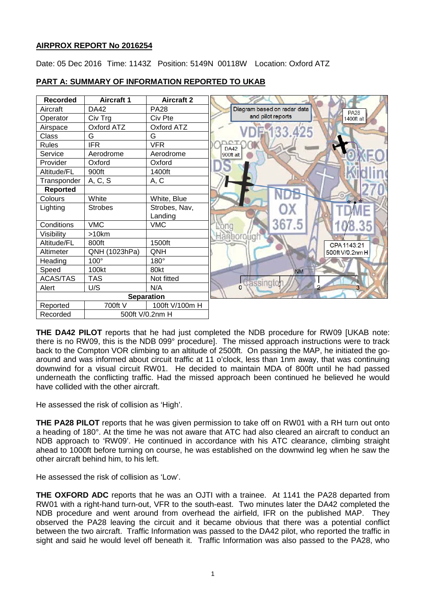## **AIRPROX REPORT No 2016254**

Date: 05 Dec 2016 Time: 1143Z Position: 5149N 00118W Location: Oxford ATZ



# **PART A: SUMMARY OF INFORMATION REPORTED TO UKAB**

**THE DA42 PILOT** reports that he had just completed the NDB procedure for RW09 [UKAB note: there is no RW09, this is the NDB 099° procedure]. The missed approach instructions were to track back to the Compton VOR climbing to an altitude of 2500ft. On passing the MAP, he initiated the goaround and was informed about circuit traffic at 11 o'clock, less than 1nm away, that was continuing downwind for a visual circuit RW01. He decided to maintain MDA of 800ft until he had passed underneath the conflicting traffic. Had the missed approach been continued he believed he would have collided with the other aircraft.

He assessed the risk of collision as 'High'.

**THE PA28 PILOT** reports that he was given permission to take off on RW01 with a RH turn out onto a heading of 180°. At the time he was not aware that ATC had also cleared an aircraft to conduct an NDB approach to 'RW09'. He continued in accordance with his ATC clearance, climbing straight ahead to 1000ft before turning on course, he was established on the downwind leg when he saw the other aircraft behind him, to his left.

He assessed the risk of collision as 'Low'.

**THE OXFORD ADC** reports that he was an OJTI with a trainee. At 1141 the PA28 departed from RW01 with a right-hand turn-out, VFR to the south-east. Two minutes later the DA42 completed the NDB procedure and went around from overhead the airfield, IFR on the published MAP. They observed the PA28 leaving the circuit and it became obvious that there was a potential conflict between the two aircraft. Traffic Information was passed to the DA42 pilot, who reported the traffic in sight and said he would level off beneath it. Traffic Information was also passed to the PA28, who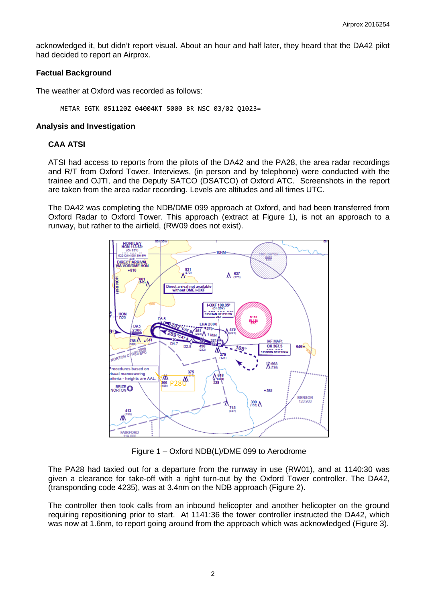acknowledged it, but didn't report visual. About an hour and half later, they heard that the DA42 pilot had decided to report an Airprox.

### **Factual Background**

The weather at Oxford was recorded as follows:

METAR EGTK 051120Z 04004KT 5000 BR NSC 03/02 Q1023=

### **Analysis and Investigation**

## **CAA ATSI**

ATSI had access to reports from the pilots of the DA42 and the PA28, the area radar recordings and R/T from Oxford Tower. Interviews, (in person and by telephone) were conducted with the trainee and OJTI, and the Deputy SATCO (DSATCO) of Oxford ATC. Screenshots in the report are taken from the area radar recording. Levels are altitudes and all times UTC.

The DA42 was completing the NDB/DME 099 approach at Oxford, and had been transferred from Oxford Radar to Oxford Tower. This approach (extract at Figure 1), is not an approach to a runway, but rather to the airfield, (RW09 does not exist).



Figure 1 – Oxford NDB(L)/DME 099 to Aerodrome

The PA28 had taxied out for a departure from the runway in use (RW01), and at 1140:30 was given a clearance for take-off with a right turn-out by the Oxford Tower controller. The DA42, (transponding code 4235), was at 3.4nm on the NDB approach (Figure 2).

The controller then took calls from an inbound helicopter and another helicopter on the ground requiring repositioning prior to start. At 1141:36 the tower controller instructed the DA42, which was now at 1.6nm, to report going around from the approach which was acknowledged (Figure 3).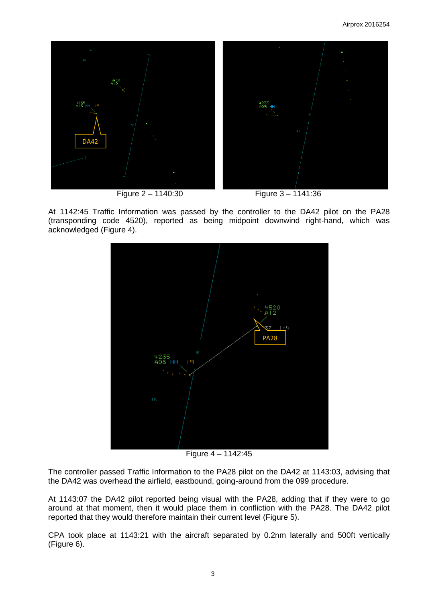

At 1142:45 Traffic Information was passed by the controller to the DA42 pilot on the PA28 (transponding code 4520), reported as being midpoint downwind right-hand, which was acknowledged (Figure 4).



Figure 4 – 1142:45

The controller passed Traffic Information to the PA28 pilot on the DA42 at 1143:03, advising that the DA42 was overhead the airfield, eastbound, going-around from the 099 procedure.

At 1143:07 the DA42 pilot reported being visual with the PA28, adding that if they were to go around at that moment, then it would place them in confliction with the PA28. The DA42 pilot reported that they would therefore maintain their current level (Figure 5).

CPA took place at 1143:21 with the aircraft separated by 0.2nm laterally and 500ft vertically (Figure 6).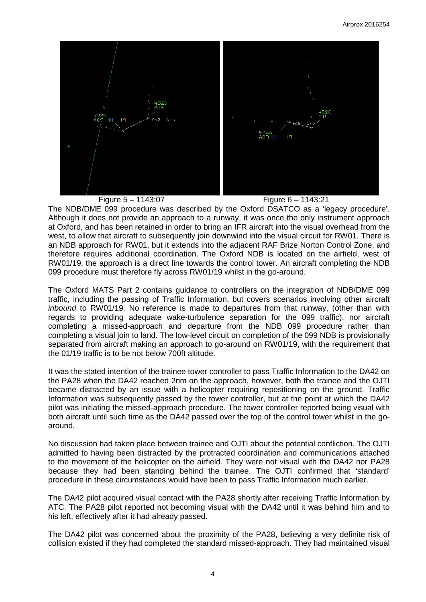

Figure 5 – 1143:07 Figure 6 – 1143:21

The NDB/DME 099 procedure was described by the Oxford DSATCO as a 'legacy procedure'. Although it does not provide an approach to a runway, it was once the only instrument approach at Oxford, and has been retained in order to bring an IFR aircraft into the visual overhead from the west, to allow that aircraft to subsequently join downwind into the visual circuit for RW01. There is an NDB approach for RW01, but it extends into the adjacent RAF Brize Norton Control Zone, and therefore requires additional coordination. The Oxford NDB is located on the airfield, west of RW01/19, the approach is a direct line towards the control tower. An aircraft completing the NDB 099 procedure must therefore fly across RW01/19 whilst in the go-around.

The Oxford MATS Part 2 contains guidance to controllers on the integration of NDB/DME 099 traffic, including the passing of Traffic Information, but covers scenarios involving other aircraft *inbound* to RW01/19. No reference is made to departures from that runway, (other than with regards to providing adequate wake-turbulence separation for the 099 traffic), nor aircraft completing a missed-approach and departure from the NDB 099 procedure rather than completing a visual join to land. The low-level circuit on completion of the 099 NDB is provisionally separated from aircraft making an approach to go-around on RW01/19, with the requirement that the 01/19 traffic is to be not below 700ft altitude.

It was the stated intention of the trainee tower controller to pass Traffic Information to the DA42 on the PA28 when the DA42 reached 2nm on the approach, however, both the trainee and the OJTI became distracted by an issue with a helicopter requiring repositioning on the ground. Traffic Information was subsequently passed by the tower controller, but at the point at which the DA42 pilot was initiating the missed-approach procedure. The tower controller reported being visual with both aircraft until such time as the DA42 passed over the top of the control tower whilst in the goaround.

No discussion had taken place between trainee and OJTI about the potential confliction. The OJTI admitted to having been distracted by the protracted coordination and communications attached to the movement of the helicopter on the airfield. They were not visual with the DA42 nor PA28 because they had been standing behind the trainee. The OJTI confirmed that 'standard' procedure in these circumstances would have been to pass Traffic Information much earlier.

The DA42 pilot acquired visual contact with the PA28 shortly after receiving Traffic Information by ATC. The PA28 pilot reported not becoming visual with the DA42 until it was behind him and to his left, effectively after it had already passed.

The DA42 pilot was concerned about the proximity of the PA28, believing a very definite risk of collision existed if they had completed the standard missed-approach. They had maintained visual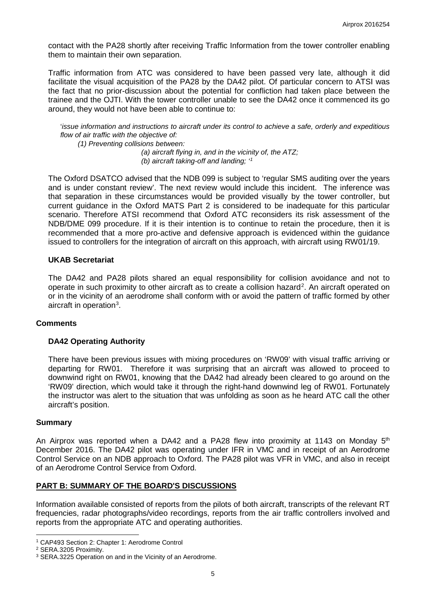contact with the PA28 shortly after receiving Traffic Information from the tower controller enabling them to maintain their own separation.

Traffic information from ATC was considered to have been passed very late, although it did facilitate the visual acquisition of the PA28 by the DA42 pilot. Of particular concern to ATSI was the fact that no prior-discussion about the potential for confliction had taken place between the trainee and the OJTI. With the tower controller unable to see the DA42 once it commenced its go around, they would not have been able to continue to:

'*issue information and instructions to aircraft under its control to achieve a safe, orderly and expeditious flow of air traffic with the objective of:* 

*(1) Preventing collisions between:* 

*(a) aircraft flying in, and in the vicinity of, the ATZ; (b) aircraft taking-off and landing; '[1](#page-4-0)*

The Oxford DSATCO advised that the NDB 099 is subject to 'regular SMS auditing over the years and is under constant review'. The next review would include this incident. The inference was that separation in these circumstances would be provided visually by the tower controller, but current guidance in the Oxford MATS Part 2 is considered to be inadequate for this particular scenario. Therefore ATSI recommend that Oxford ATC reconsiders its risk assessment of the NDB/DME 099 procedure. If it is their intention is to continue to retain the procedure, then it is recommended that a more pro-active and defensive approach is evidenced within the guidance issued to controllers for the integration of aircraft on this approach, with aircraft using RW01/19.

#### **UKAB Secretariat**

The DA42 and PA28 pilots shared an equal responsibility for collision avoidance and not to operate in such proximity to other aircraft as to create a collision hazard<sup>[2](#page-4-1)</sup>. An aircraft operated on or in the vicinity of an aerodrome shall conform with or avoid the pattern of traffic formed by other aircraft in operation<sup>[3](#page-4-2)</sup>.

#### **Comments**

## **DA42 Operating Authority**

There have been previous issues with mixing procedures on 'RW09' with visual traffic arriving or departing for RW01. Therefore it was surprising that an aircraft was allowed to proceed to downwind right on RW01, knowing that the DA42 had already been cleared to go around on the 'RW09' direction, which would take it through the right-hand downwind leg of RW01. Fortunately the instructor was alert to the situation that was unfolding as soon as he heard ATC call the other aircraft's position.

#### **Summary**

An Airprox was reported when a DA42 and a PA28 flew into proximity at 1143 on Monday  $5<sup>th</sup>$ December 2016. The DA42 pilot was operating under IFR in VMC and in receipt of an Aerodrome Control Service on an NDB approach to Oxford. The PA28 pilot was VFR in VMC, and also in receipt of an Aerodrome Control Service from Oxford.

## **PART B: SUMMARY OF THE BOARD'S DISCUSSIONS**

Information available consisted of reports from the pilots of both aircraft, transcripts of the relevant RT frequencies, radar photographs/video recordings, reports from the air traffic controllers involved and reports from the appropriate ATC and operating authorities.

 $\overline{\phantom{a}}$ 

<span id="page-4-0"></span><sup>1</sup> CAP493 Section 2: Chapter 1: Aerodrome Control

<span id="page-4-1"></span><sup>2</sup> SERA.3205 Proximity.

<span id="page-4-2"></span><sup>&</sup>lt;sup>3</sup> SERA.3225 Operation on and in the Vicinity of an Aerodrome.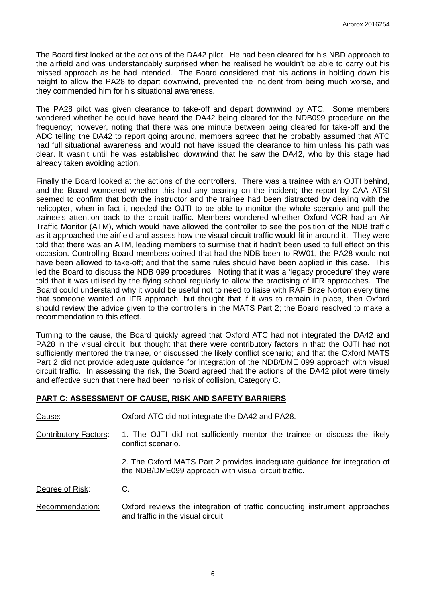The Board first looked at the actions of the DA42 pilot. He had been cleared for his NBD approach to the airfield and was understandably surprised when he realised he wouldn't be able to carry out his missed approach as he had intended. The Board considered that his actions in holding down his height to allow the PA28 to depart downwind, prevented the incident from being much worse, and they commended him for his situational awareness.

The PA28 pilot was given clearance to take-off and depart downwind by ATC. Some members wondered whether he could have heard the DA42 being cleared for the NDB099 procedure on the frequency; however, noting that there was one minute between being cleared for take-off and the ADC telling the DA42 to report going around, members agreed that he probably assumed that ATC had full situational awareness and would not have issued the clearance to him unless his path was clear. It wasn't until he was established downwind that he saw the DA42, who by this stage had already taken avoiding action.

Finally the Board looked at the actions of the controllers. There was a trainee with an OJTI behind, and the Board wondered whether this had any bearing on the incident; the report by CAA ATSI seemed to confirm that both the instructor and the trainee had been distracted by dealing with the helicopter, when in fact it needed the OJTI to be able to monitor the whole scenario and pull the trainee's attention back to the circuit traffic. Members wondered whether Oxford VCR had an Air Traffic Monitor (ATM), which would have allowed the controller to see the position of the NDB traffic as it approached the airfield and assess how the visual circuit traffic would fit in around it. They were told that there was an ATM, leading members to surmise that it hadn't been used to full effect on this occasion. Controlling Board members opined that had the NDB been to RW01, the PA28 would not have been allowed to take-off; and that the same rules should have been applied in this case. This led the Board to discuss the NDB 099 procedures. Noting that it was a 'legacy procedure' they were told that it was utilised by the flying school regularly to allow the practising of IFR approaches. The Board could understand why it would be useful not to need to liaise with RAF Brize Norton every time that someone wanted an IFR approach, but thought that if it was to remain in place, then Oxford should review the advice given to the controllers in the MATS Part 2; the Board resolved to make a recommendation to this effect.

Turning to the cause, the Board quickly agreed that Oxford ATC had not integrated the DA42 and PA28 in the visual circuit, but thought that there were contributory factors in that: the OJTI had not sufficiently mentored the trainee, or discussed the likely conflict scenario; and that the Oxford MATS Part 2 did not provide adequate guidance for integration of the NDB/DME 099 approach with visual circuit traffic. In assessing the risk, the Board agreed that the actions of the DA42 pilot were timely and effective such that there had been no risk of collision, Category C.

## **PART C: ASSESSMENT OF CAUSE, RISK AND SAFETY BARRIERS**

| Cause: | Oxford ATC did not integrate the DA42 and PA28. |
|--------|-------------------------------------------------|
|--------|-------------------------------------------------|

Contributory Factors: 1. The OJTI did not sufficiently mentor the trainee or discuss the likely conflict scenario.

> 2. The Oxford MATS Part 2 provides inadequate guidance for integration of the NDB/DME099 approach with visual circuit traffic.

Degree of Risk: C.

Recommendation: Oxford reviews the integration of traffic conducting instrument approaches and traffic in the visual circuit.